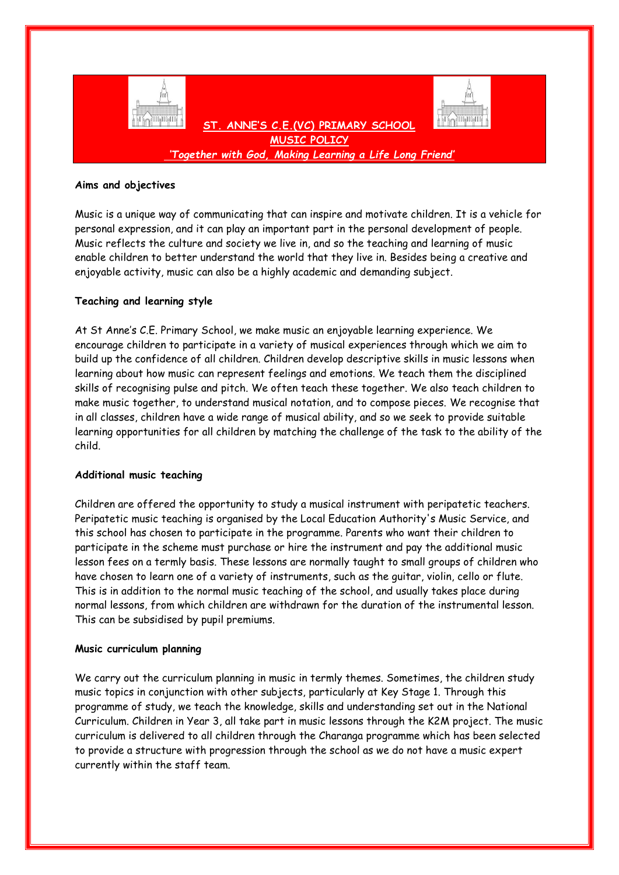

## **Aims and objectives**

Music is a unique way of communicating that can inspire and motivate children. It is a vehicle for personal expression, and it can play an important part in the personal development of people. Music reflects the culture and society we live in, and so the teaching and learning of music enable children to better understand the world that they live in. Besides being a creative and enjoyable activity, music can also be a highly academic and demanding subject.

# **Teaching and learning style**

At St Anne's C.E. Primary School, we make music an enjoyable learning experience. We encourage children to participate in a variety of musical experiences through which we aim to build up the confidence of all children. Children develop descriptive skills in music lessons when learning about how music can represent feelings and emotions. We teach them the disciplined skills of recognising pulse and pitch. We often teach these together. We also teach children to make music together, to understand musical notation, and to compose pieces. We recognise that in all classes, children have a wide range of musical ability, and so we seek to provide suitable learning opportunities for all children by matching the challenge of the task to the ability of the child.

#### **Additional music teaching**

Children are offered the opportunity to study a musical instrument with peripatetic teachers. Peripatetic music teaching is organised by the Local Education Authority's Music Service, and this school has chosen to participate in the programme. Parents who want their children to participate in the scheme must purchase or hire the instrument and pay the additional music lesson fees on a termly basis. These lessons are normally taught to small groups of children who have chosen to learn one of a variety of instruments, such as the guitar, violin, cello or flute. This is in addition to the normal music teaching of the school, and usually takes place during normal lessons, from which children are withdrawn for the duration of the instrumental lesson. This can be subsidised by pupil premiums.

#### **Music curriculum planning**

We carry out the curriculum planning in music in termly themes. Sometimes, the children study music topics in conjunction with other subjects, particularly at Key Stage 1. Through this programme of study, we teach the knowledge, skills and understanding set out in the National Curriculum. Children in Year 3, all take part in music lessons through the K2M project. The music curriculum is delivered to all children through the Charanga programme which has been selected to provide a structure with progression through the school as we do not have a music expert currently within the staff team.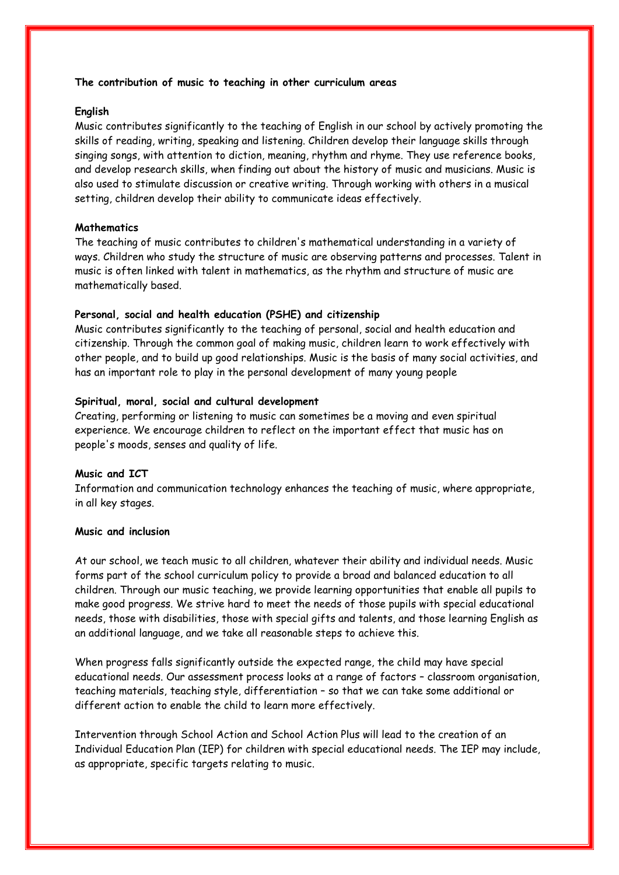## **The contribution of music to teaching in other curriculum areas**

# **English**

Music contributes significantly to the teaching of English in our school by actively promoting the skills of reading, writing, speaking and listening. Children develop their language skills through singing songs, with attention to diction, meaning, rhythm and rhyme. They use reference books, and develop research skills, when finding out about the history of music and musicians. Music is also used to stimulate discussion or creative writing. Through working with others in a musical setting, children develop their ability to communicate ideas effectively.

## **Mathematics**

The teaching of music contributes to children's mathematical understanding in a variety of ways. Children who study the structure of music are observing patterns and processes. Talent in music is often linked with talent in mathematics, as the rhythm and structure of music are mathematically based.

## **Personal, social and health education (PSHE) and citizenship**

Music contributes significantly to the teaching of personal, social and health education and citizenship. Through the common goal of making music, children learn to work effectively with other people, and to build up good relationships. Music is the basis of many social activities, and has an important role to play in the personal development of many young people

#### **Spiritual, moral, social and cultural development**

Creating, performing or listening to music can sometimes be a moving and even spiritual experience. We encourage children to reflect on the important effect that music has on people's moods, senses and quality of life.

### **Music and ICT**

Information and communication technology enhances the teaching of music, where appropriate, in all key stages.

# **Music and inclusion**

At our school, we teach music to all children, whatever their ability and individual needs. Music forms part of the school curriculum policy to provide a broad and balanced education to all children. Through our music teaching, we provide learning opportunities that enable all pupils to make good progress. We strive hard to meet the needs of those pupils with special educational needs, those with disabilities, those with special gifts and talents, and those learning English as an additional language, and we take all reasonable steps to achieve this.

When progress falls significantly outside the expected range, the child may have special educational needs. Our assessment process looks at a range of factors – classroom organisation, teaching materials, teaching style, differentiation – so that we can take some additional or different action to enable the child to learn more effectively.

Intervention through School Action and School Action Plus will lead to the creation of an Individual Education Plan (IEP) for children with special educational needs. The IEP may include, as appropriate, specific targets relating to music.